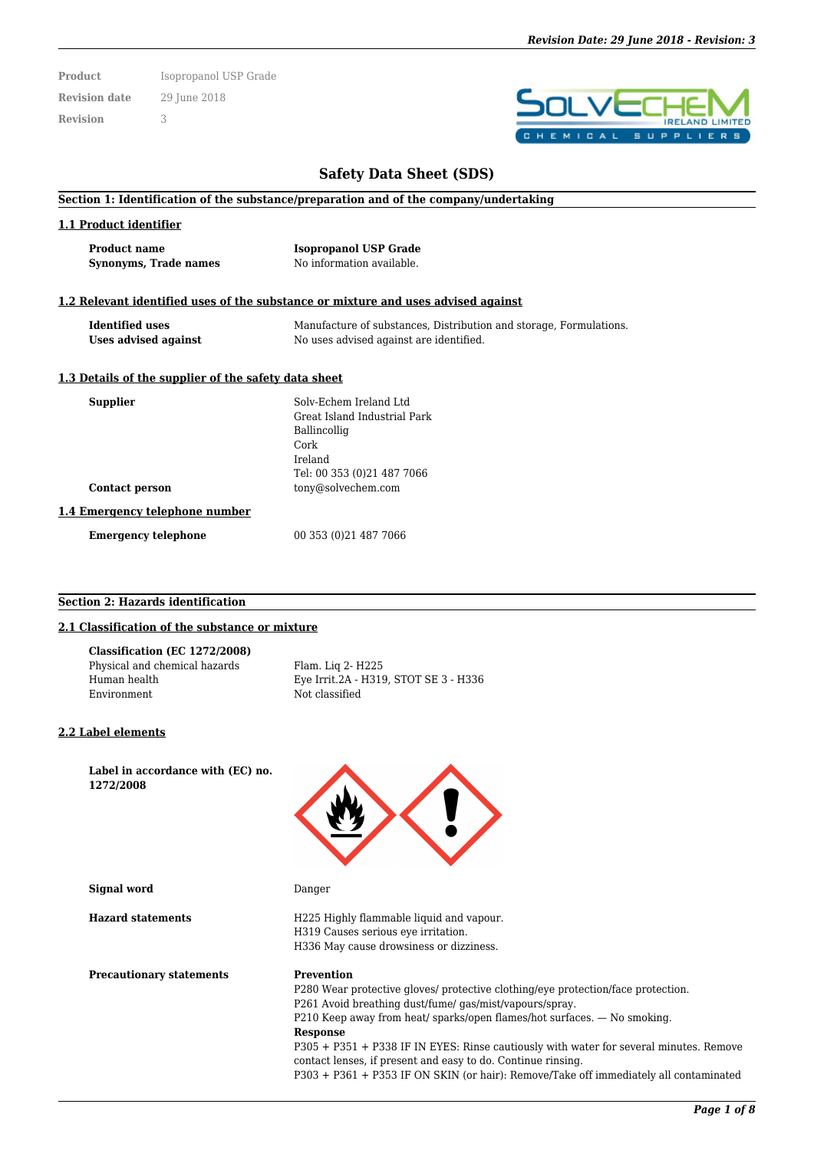**Product** Isopropanol USP Grade **Revision date** 29 June 2018 **Revision** 3

# п  $P$  $\mathbf{p}$

# **Safety Data Sheet (SDS)**

#### **Section 1: Identification of the substance/preparation and of the company/undertaking**

#### **1.1 Product identifier**

| <b>Product name</b>          | <b>Isopropanol USP Grade</b> |
|------------------------------|------------------------------|
| <b>Synonyms, Trade names</b> | No information available.    |

#### **1.2 Relevant identified uses of the substance or mixture and uses advised against**

| <b>Identified uses</b> | Manufacture of substances, Distribution and storage, Formulations. |
|------------------------|--------------------------------------------------------------------|
| Uses advised against   | No uses advised against are identified.                            |

#### **1.3 Details of the supplier of the safety data sheet**

| <b>Supplier</b>                | Solv-Echem Ireland Ltd       |
|--------------------------------|------------------------------|
|                                | Great Island Industrial Park |
|                                | Ballincollig                 |
|                                | Cork                         |
|                                | Ireland                      |
|                                | Tel: 00 353 (0) 21 487 7066  |
| <b>Contact person</b>          | tony@solvechem.com           |
| 1.4 Emergency telephone number |                              |
| <b>Emergency telephone</b>     | 00 353 (0) 21 487 7066       |

#### **Section 2: Hazards identification**

#### **2.1 Classification of the substance or mixture**

| Classification (EC 1272/2008) |                                       |
|-------------------------------|---------------------------------------|
| Physical and chemical hazards | Flam. Lig 2- H225                     |
| Human health                  | Eye Irrit.2A - H319, STOT SE 3 - H336 |
| Environment                   | Not classified                        |

#### **2.2 Label elements**

**Label in accordance with (EC) no. 1272/2008**

**Signal word** Danger

**Hazard statements** H225 Highly flammable liquid and vapour. H319 Causes serious eye irritation. H336 May cause drowsiness or dizziness.

**Precautionary statements Prevention** 

P280 Wear protective gloves/ protective clothing/eye protection/face protection. P261 Avoid breathing dust/fume/ gas/mist/vapours/spray. P210 Keep away from heat/ sparks/open flames/hot surfaces. — No smoking. **Response** P305 + P351 + P338 IF IN EYES: Rinse cautiously with water for several minutes. Remove contact lenses, if present and easy to do. Continue rinsing.

P303 + P361 + P353 IF ON SKIN (or hair): Remove/Take off immediately all contaminated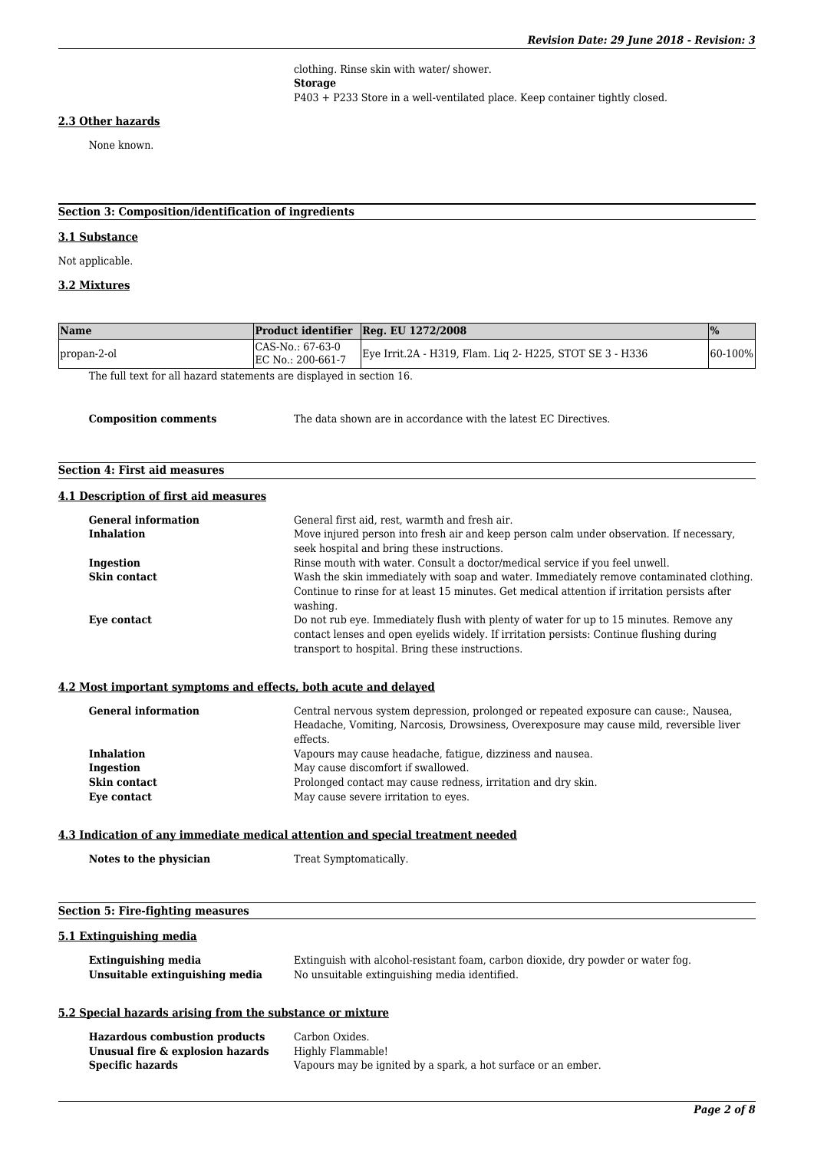clothing. Rinse skin with water/ shower. **Storage** P403 + P233 Store in a well-ventilated place. Keep container tightly closed.

#### **2.3 Other hazards**

None known.

## **Section 3: Composition/identification of ingredients**

## **3.1 Substance**

Not applicable.

## **3.2 Mixtures**

| Name                                                                 |                                       | Product identifier Reg. EU 1272/2008                            | $\frac{9}{0}$ |
|----------------------------------------------------------------------|---------------------------------------|-----------------------------------------------------------------|---------------|
| propan-2-ol                                                          | CAS-No.: 67-63-0<br>EC No.: 200-661-7 | Eye Irrit.2A - H319, Flam. Liq 2- H225, STOT SE 3 - H336        | $60-100%$     |
| The full text for all hazard statements are displayed in section 16. |                                       |                                                                 |               |
|                                                                      |                                       |                                                                 |               |
| <b>Composition comments</b>                                          |                                       | The data shown are in accordance with the latest EC Directives. |               |

## **Section 4: First aid measures**

#### **4.1 Description of first aid measures**

| <b>General information</b> | General first aid, rest, warmth and fresh air.                                                                                                                                                                                          |
|----------------------------|-----------------------------------------------------------------------------------------------------------------------------------------------------------------------------------------------------------------------------------------|
| <b>Inhalation</b>          | Move injured person into fresh air and keep person calm under observation. If necessary,<br>seek hospital and bring these instructions.                                                                                                 |
| Ingestion                  | Rinse mouth with water. Consult a doctor/medical service if you feel unwell.                                                                                                                                                            |
| Skin contact               | Wash the skin immediately with soap and water. Immediately remove contaminated clothing<br>Continue to rinse for at least 15 minutes. Get medical attention if irritation persists after<br>washing.                                    |
| Eye contact                | Do not rub eye. Immediately flush with plenty of water for up to 15 minutes. Remove any<br>contact lenses and open evelids widely. If irritation persists: Continue flushing during<br>transport to hospital. Bring these instructions. |

## **4.2 Most important symptoms and effects, both acute and delayed**

| <b>General information</b> | Central nervous system depression, prolonged or repeated exposure can cause:, Nausea,<br>Headache, Vomiting, Narcosis, Drowsiness, Overexposure may cause mild, reversible liver<br>effects. |
|----------------------------|----------------------------------------------------------------------------------------------------------------------------------------------------------------------------------------------|
| <b>Inhalation</b>          | Vapours may cause headache, fatique, dizziness and nausea.                                                                                                                                   |
| Ingestion                  | May cause discomfort if swallowed.                                                                                                                                                           |
| Skin contact               | Prolonged contact may cause redness, irritation and dry skin.                                                                                                                                |
| Eye contact                | May cause severe irritation to eyes.                                                                                                                                                         |

#### **4.3 Indication of any immediate medical attention and special treatment needed**

| Notes to the physician | Treat Symptomatically. |
|------------------------|------------------------|
|                        |                        |

## **Section 5: Fire-fighting measures**

## **5.1 Extinguishing media**

| Extinguishing media            | Extinguish with alcohol-resistant foam, carbon dioxide, dry powder or water fog. |
|--------------------------------|----------------------------------------------------------------------------------|
| Unsuitable extinguishing media | No unsuitable extinguishing media identified.                                    |

## **5.2 Special hazards arising from the substance or mixture**

| <b>Hazardous combustion products</b> | Carbon Oxides.                                                |
|--------------------------------------|---------------------------------------------------------------|
| Unusual fire & explosion hazards     | Highly Flammable!                                             |
| Specific hazards                     | Vapours may be ignited by a spark, a hot surface or an ember. |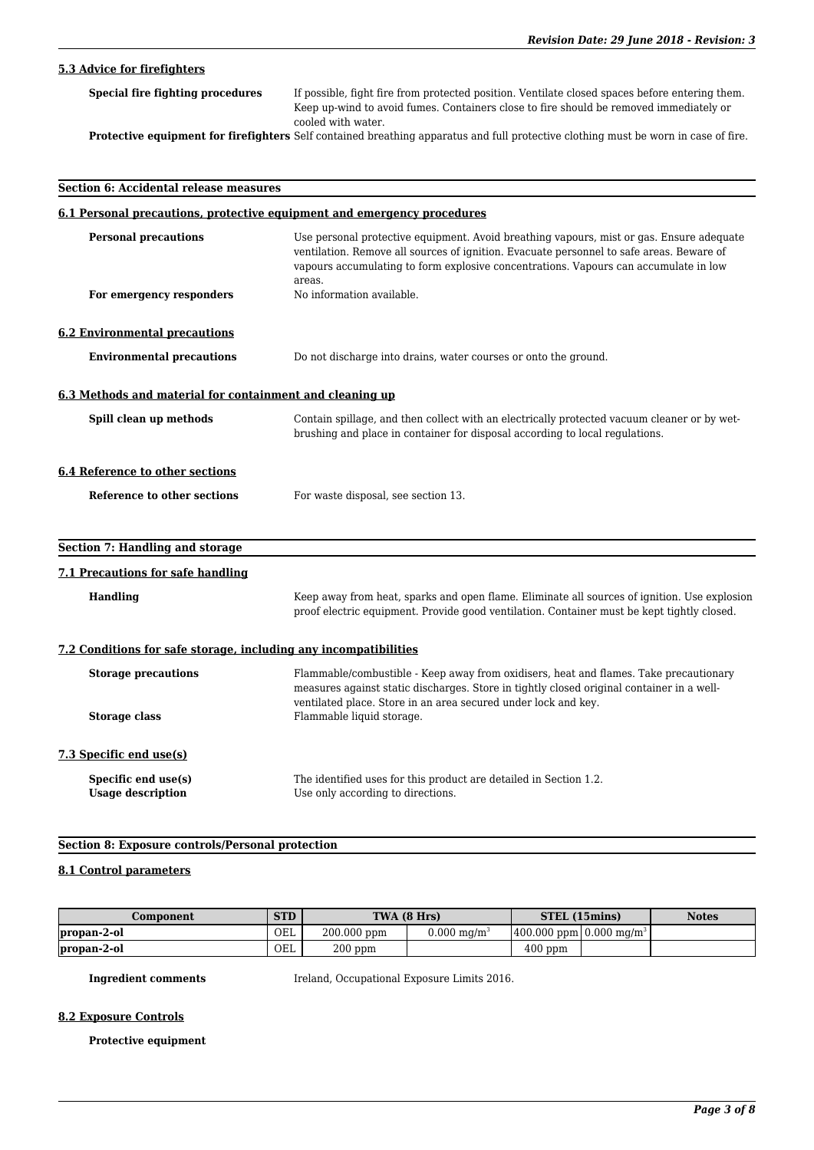# **5.3 Advice for firefighters**

| Special fire fighting procedures | If possible, fight fire from protected position. Ventilate closed spaces before entering them.                                                                                                                                |
|----------------------------------|-------------------------------------------------------------------------------------------------------------------------------------------------------------------------------------------------------------------------------|
|                                  | Keep up-wind to avoid fumes. Containers close to fire should be removed immediately or                                                                                                                                        |
|                                  | cooled with water.                                                                                                                                                                                                            |
|                                  | TROLL OF THE COLORATION OF THE CONTRACTOR OF THE COLORATION OF THE COLORATION OF THE COLORATION OF THE COLORATION OF THE COLORATION OF THE COLORATION OF THE COLORATION OF THE COLORATION OF THE COLORATION OF THE COLORATION |

**Protective equipment for firefighters** Self contained breathing apparatus and full protective clothing must be worn in case of fire.

| Section 6: Accidental release measures<br>6.1 Personal precautions, protective equipment and emergency procedures |                                                                                                                                                                                                                                                      |  |
|-------------------------------------------------------------------------------------------------------------------|------------------------------------------------------------------------------------------------------------------------------------------------------------------------------------------------------------------------------------------------------|--|
|                                                                                                                   |                                                                                                                                                                                                                                                      |  |
| For emergency responders                                                                                          | No information available.                                                                                                                                                                                                                            |  |
| <b>6.2 Environmental precautions</b>                                                                              |                                                                                                                                                                                                                                                      |  |
| <b>Environmental precautions</b>                                                                                  | Do not discharge into drains, water courses or onto the ground.                                                                                                                                                                                      |  |
| 6.3 Methods and material for containment and cleaning up                                                          |                                                                                                                                                                                                                                                      |  |
| Spill clean up methods                                                                                            | Contain spillage, and then collect with an electrically protected vacuum cleaner or by wet-<br>brushing and place in container for disposal according to local regulations.                                                                          |  |
| 6.4 Reference to other sections                                                                                   |                                                                                                                                                                                                                                                      |  |
| Reference to other sections                                                                                       | For waste disposal, see section 13.                                                                                                                                                                                                                  |  |
| <b>Section 7: Handling and storage</b>                                                                            |                                                                                                                                                                                                                                                      |  |
| 7.1 Precautions for safe handling                                                                                 |                                                                                                                                                                                                                                                      |  |
| <b>Handling</b>                                                                                                   | Keep away from heat, sparks and open flame. Eliminate all sources of ignition. Use explosion<br>proof electric equipment. Provide good ventilation. Container must be kept tightly closed.                                                           |  |
| 7.2 Conditions for safe storage, including any incompatibilities                                                  |                                                                                                                                                                                                                                                      |  |
| <b>Storage precautions</b>                                                                                        | Flammable/combustible - Keep away from oxidisers, heat and flames. Take precautionary<br>measures against static discharges. Store in tightly closed original container in a well-<br>ventilated place. Store in an area secured under lock and key. |  |
| <b>Storage class</b>                                                                                              | Flammable liquid storage.                                                                                                                                                                                                                            |  |
| 7.3 Specific end use(s)                                                                                           |                                                                                                                                                                                                                                                      |  |
| Specific end use(s)<br><b>Usage description</b>                                                                   | The identified uses for this product are detailed in Section 1.2.<br>Use only according to directions.                                                                                                                                               |  |

# **Section 8: Exposure controls/Personal protection**

## **8.1 Control parameters**

| Component   | <b>STD</b> |             | TWA (8 Hrs)             | STEL (15mins)                            | <b>Notes</b> |
|-------------|------------|-------------|-------------------------|------------------------------------------|--------------|
| propan-2-ol | OEL        | 200.000 ppm | $0.000~\mathrm{ma/m^3}$ | $(400.000$ ppm $0.000$ mg/m <sup>3</sup> |              |
| propan-2-ol | OEL        | $200$ ppm   |                         | $400$ ppm                                |              |

**Ingredient comments** Ireland, Occupational Exposure Limits 2016.

## **8.2 Exposure Controls**

**Protective equipment**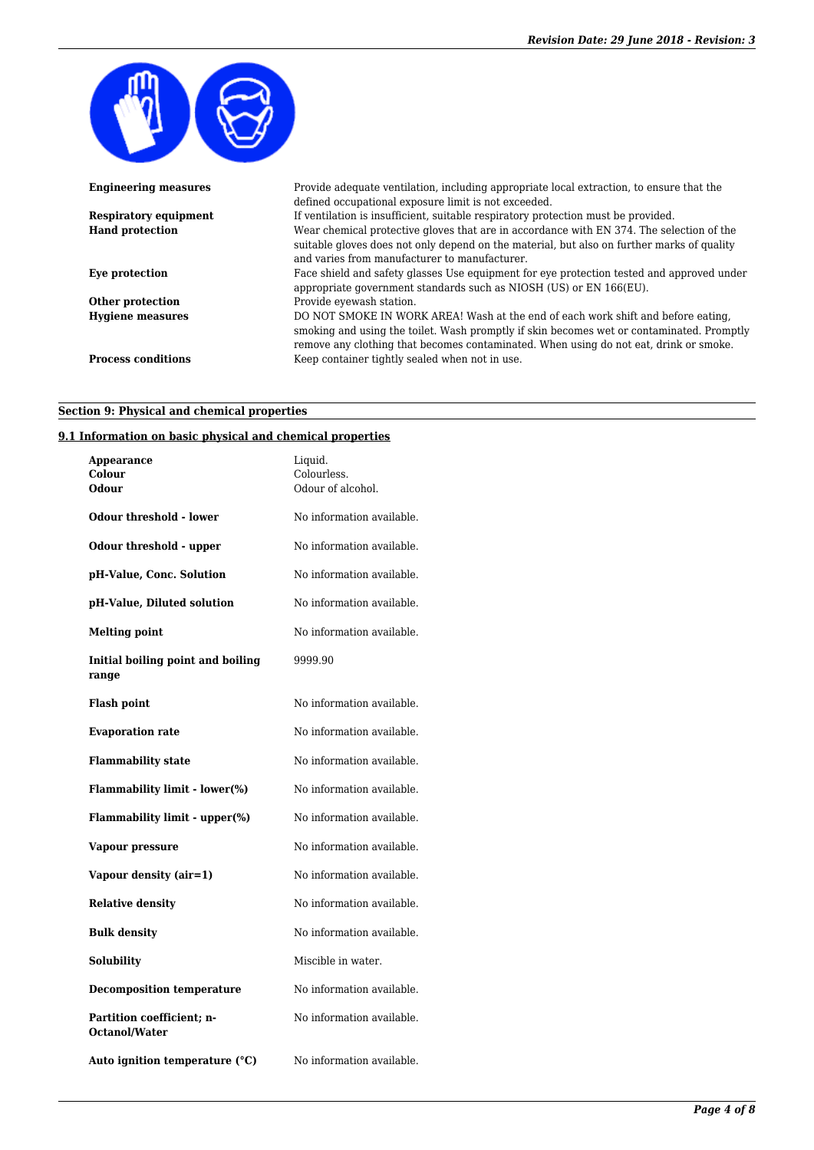

| <b>Engineering measures</b>  | Provide adequate ventilation, including appropriate local extraction, to ensure that the<br>defined occupational exposure limit is not exceeded.                                                                                                                       |
|------------------------------|------------------------------------------------------------------------------------------------------------------------------------------------------------------------------------------------------------------------------------------------------------------------|
| <b>Respiratory equipment</b> | If ventilation is insufficient, suitable respiratory protection must be provided.                                                                                                                                                                                      |
| <b>Hand protection</b>       | Wear chemical protective gloves that are in accordance with EN 374. The selection of the<br>suitable gloves does not only depend on the material, but also on further marks of quality<br>and varies from manufacturer to manufacturer.                                |
| Eye protection               | Face shield and safety glasses Use equipment for eye protection tested and approved under<br>appropriate government standards such as NIOSH (US) or EN 166(EU).                                                                                                        |
| Other protection             | Provide eyewash station.                                                                                                                                                                                                                                               |
| <b>Hygiene measures</b>      | DO NOT SMOKE IN WORK AREA! Wash at the end of each work shift and before eating,<br>smoking and using the toilet. Wash promptly if skin becomes wet or contaminated. Promptly<br>remove any clothing that becomes contaminated. When using do not eat, drink or smoke. |
| <b>Process conditions</b>    | Keep container tightly sealed when not in use.                                                                                                                                                                                                                         |

# **Section 9: Physical and chemical properties**

## **9.1 Information on basic physical and chemical properties**

| Appearance<br>Colour<br>Odour                     | Liquid.<br>Colourless.<br>Odour of alcohol. |
|---------------------------------------------------|---------------------------------------------|
| Odour threshold - lower                           | No information available.                   |
| Odour threshold - upper                           | No information available.                   |
| pH-Value, Conc. Solution                          | No information available.                   |
| pH-Value, Diluted solution                        | No information available.                   |
| <b>Melting point</b>                              | No information available.                   |
| Initial boiling point and boiling<br>range        | 9999.90                                     |
| <b>Flash point</b>                                | No information available.                   |
| <b>Evaporation rate</b>                           | No information available.                   |
| <b>Flammability state</b>                         | No information available.                   |
| Flammability limit - lower(%)                     | No information available.                   |
| Flammability limit - upper(%)                     | No information available.                   |
| Vapour pressure                                   | No information available.                   |
| Vapour density (air=1)                            | No information available.                   |
| <b>Relative density</b>                           | No information available.                   |
| <b>Bulk density</b>                               | No information available.                   |
| <b>Solubility</b>                                 | Miscible in water.                          |
| <b>Decomposition temperature</b>                  | No information available.                   |
| Partition coefficient; n-<br><b>Octanol/Water</b> | No information available.                   |
| Auto ignition temperature (°C)                    | No information available.                   |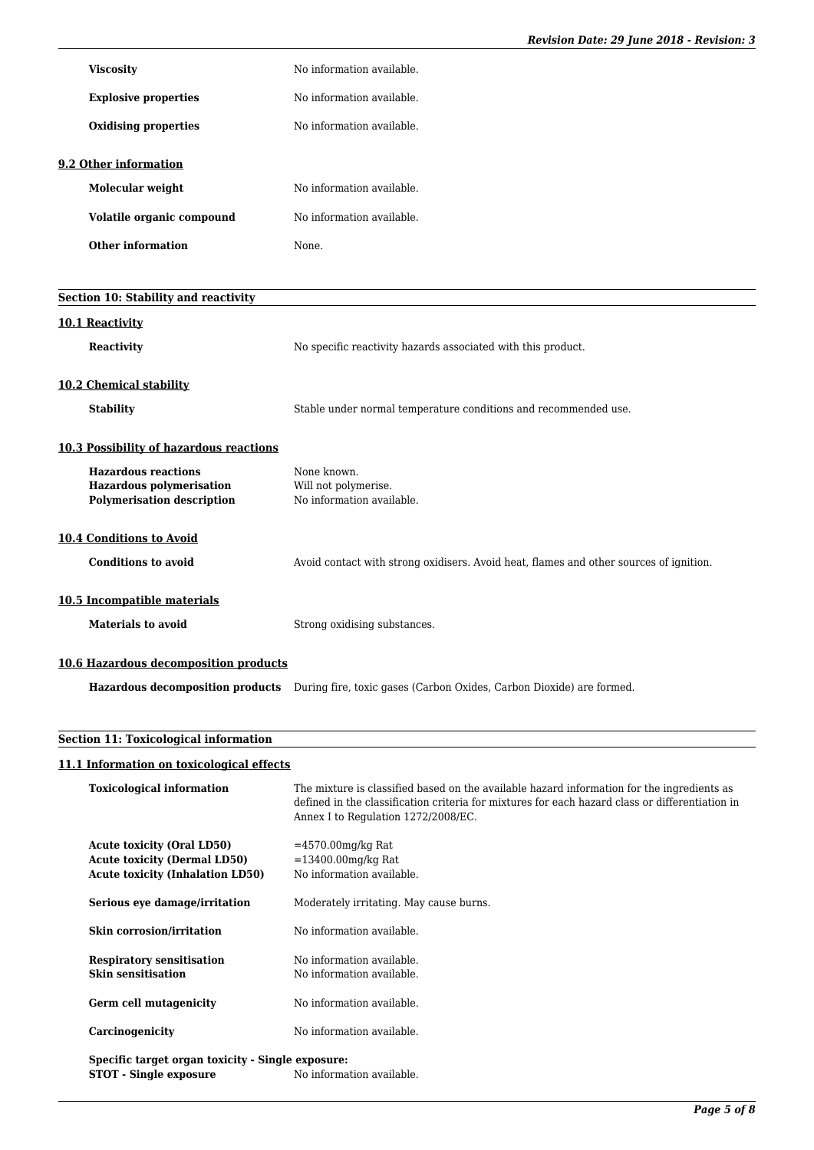|                                       | <b>Viscosity</b>                                                                                   | No information available.                                                                             |
|---------------------------------------|----------------------------------------------------------------------------------------------------|-------------------------------------------------------------------------------------------------------|
|                                       | <b>Explosive properties</b>                                                                        | No information available.                                                                             |
|                                       | <b>Oxidising properties</b>                                                                        | No information available.                                                                             |
|                                       | 9.2 Other information                                                                              |                                                                                                       |
|                                       | Molecular weight                                                                                   | No information available.                                                                             |
|                                       | Volatile organic compound                                                                          | No information available.                                                                             |
|                                       | <b>Other information</b>                                                                           | None.                                                                                                 |
|                                       |                                                                                                    |                                                                                                       |
|                                       | Section 10: Stability and reactivity                                                               |                                                                                                       |
| 10.1 Reactivity                       |                                                                                                    |                                                                                                       |
|                                       | <b>Reactivity</b>                                                                                  | No specific reactivity hazards associated with this product.                                          |
|                                       | 10.2 Chemical stability                                                                            |                                                                                                       |
|                                       | <b>Stability</b>                                                                                   | Stable under normal temperature conditions and recommended use.                                       |
|                                       | <b>10.3 Possibility of hazardous reactions</b>                                                     |                                                                                                       |
|                                       | <b>Hazardous reactions</b><br><b>Hazardous polymerisation</b><br><b>Polymerisation description</b> | None known.<br>Will not polymerise.<br>No information available.                                      |
|                                       | <b>10.4 Conditions to Avoid</b>                                                                    |                                                                                                       |
|                                       | <b>Conditions to avoid</b>                                                                         | Avoid contact with strong oxidisers. Avoid heat, flames and other sources of ignition.                |
|                                       | 10.5 Incompatible materials                                                                        |                                                                                                       |
|                                       | <b>Materials to avoid</b>                                                                          | Strong oxidising substances.                                                                          |
| 10.6 Hazardous decomposition products |                                                                                                    |                                                                                                       |
|                                       |                                                                                                    | Hazardous decomposition products During fire, toxic gases (Carbon Oxides, Carbon Dioxide) are formed. |

# **Section 11: Toxicological information**

## **11.1 Information on toxicological effects**

| <b>Toxicological information</b>                                                                                    | The mixture is classified based on the available hazard information for the ingredients as<br>defined in the classification criteria for mixtures for each hazard class or differentiation in<br>Annex I to Regulation 1272/2008/EC. |
|---------------------------------------------------------------------------------------------------------------------|--------------------------------------------------------------------------------------------------------------------------------------------------------------------------------------------------------------------------------------|
| <b>Acute toxicity (Oral LD50)</b><br><b>Acute toxicity (Dermal LD50)</b><br><b>Acute toxicity (Inhalation LD50)</b> | $=4570.00$ mg/kg Rat<br>$= 13400.00$ mg/kg Rat<br>No information available.                                                                                                                                                          |
| Serious eye damage/irritation                                                                                       | Moderately irritating. May cause burns.                                                                                                                                                                                              |
| <b>Skin corrosion/irritation</b>                                                                                    | No information available.                                                                                                                                                                                                            |
| <b>Respiratory sensitisation</b><br><b>Skin sensitisation</b>                                                       | No information available.<br>No information available.                                                                                                                                                                               |
| Germ cell mutagenicity                                                                                              | No information available.                                                                                                                                                                                                            |
| Carcinogenicity                                                                                                     | No information available.                                                                                                                                                                                                            |
| Specific target organ toxicity - Single exposure:<br><b>STOT</b> - Single exposure                                  | No information available.                                                                                                                                                                                                            |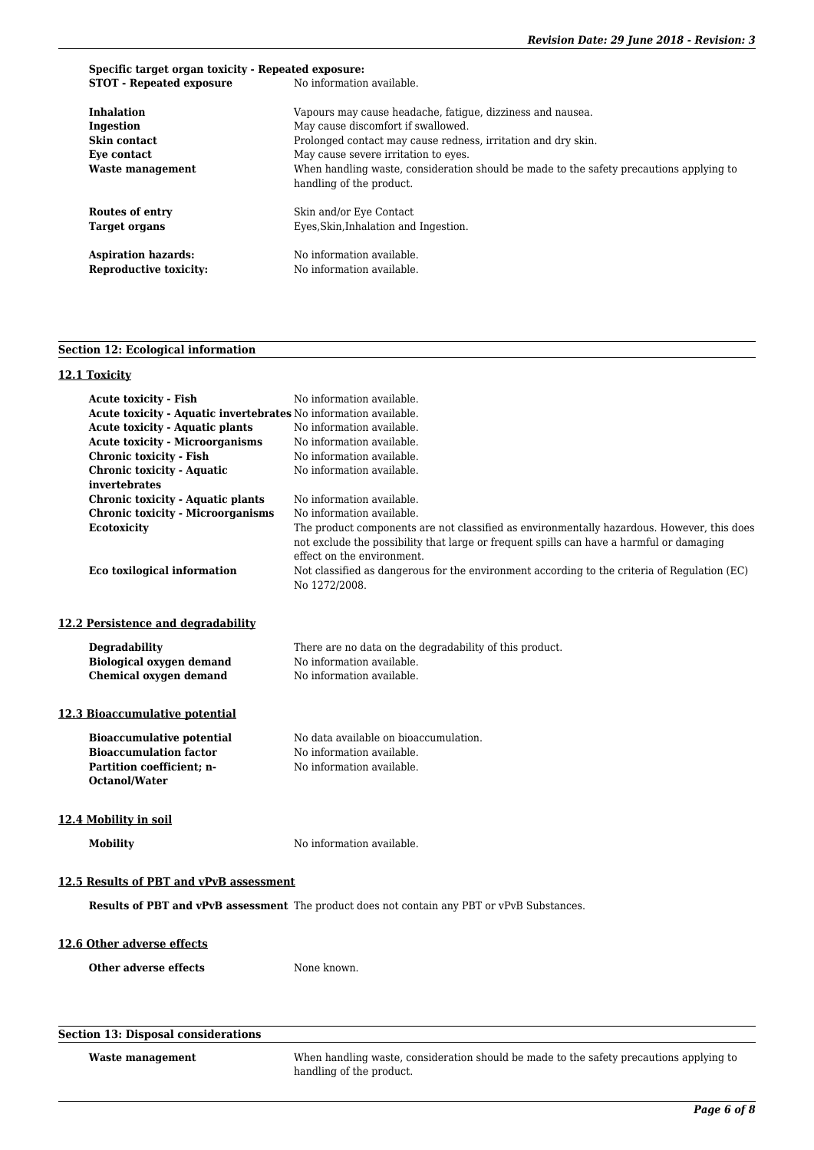# **Specific target organ toxicity - Repeated exposure:**<br>**STOT - Repeated exposure** No information available. **STOT - Repeated exposure Inhalation** Vapours may cause headache, fatigue, dizziness and nausea.<br> **Ingestion** May cause discomfort if swallowed. **Ingestion** May cause discomfort if swallowed. **Skin contact** Prolonged contact may cause redness, irritation and dry skin.

**Eye contact** May cause severe irritation to eyes. **Waste management** When handling waste, consideration should be made to the safety precautions applying to handling of the product. **Routes of entry** Skin and/or Eye Contact **Target organs** Eyes, Skin, Inhalation and Ingestion. Aspiration hazards: No information available. **Reproductive toxicity:** No information available.

## **Section 12: Ecological information**

## **12.1 Toxicity**

| <b>Acute toxicity - Fish</b><br>Acute toxicity - Aquatic invertebrates No information available.<br><b>Acute toxicity - Aquatic plants</b><br><b>Acute toxicity - Microorganisms</b><br><b>Chronic toxicity - Fish</b><br><b>Chronic toxicity - Aquatic</b><br>invertebrates<br><b>Chronic toxicity - Aquatic plants</b><br><b>Chronic toxicity - Microorganisms</b><br><b>Ecotoxicity</b><br>Eco toxilogical information | No information available.<br>No information available.<br>No information available.<br>No information available.<br>No information available.<br>No information available.<br>No information available.<br>The product components are not classified as environmentally hazardous. However, this does<br>not exclude the possibility that large or frequent spills can have a harmful or damaging<br>effect on the environment.<br>Not classified as dangerous for the environment according to the criteria of Regulation (EC)<br>No 1272/2008. |
|---------------------------------------------------------------------------------------------------------------------------------------------------------------------------------------------------------------------------------------------------------------------------------------------------------------------------------------------------------------------------------------------------------------------------|--------------------------------------------------------------------------------------------------------------------------------------------------------------------------------------------------------------------------------------------------------------------------------------------------------------------------------------------------------------------------------------------------------------------------------------------------------------------------------------------------------------------------------------------------|
| 12.2 Persistence and degradability                                                                                                                                                                                                                                                                                                                                                                                        |                                                                                                                                                                                                                                                                                                                                                                                                                                                                                                                                                  |
| Degradability<br><b>Biological oxygen demand</b><br><b>Chemical oxygen demand</b>                                                                                                                                                                                                                                                                                                                                         | There are no data on the degradability of this product.<br>No information available.<br>No information available.                                                                                                                                                                                                                                                                                                                                                                                                                                |
| 12.3 Bioaccumulative potential                                                                                                                                                                                                                                                                                                                                                                                            |                                                                                                                                                                                                                                                                                                                                                                                                                                                                                                                                                  |
| <b>Bioaccumulative potential</b><br><b>Bioaccumulation factor</b><br>Partition coefficient; n-<br><b>Octanol/Water</b>                                                                                                                                                                                                                                                                                                    | No data available on bioaccumulation.<br>No information available.<br>No information available.                                                                                                                                                                                                                                                                                                                                                                                                                                                  |
| 12.4 Mobility in soil                                                                                                                                                                                                                                                                                                                                                                                                     |                                                                                                                                                                                                                                                                                                                                                                                                                                                                                                                                                  |
| <b>Mobility</b>                                                                                                                                                                                                                                                                                                                                                                                                           | No information available.                                                                                                                                                                                                                                                                                                                                                                                                                                                                                                                        |
| 12.5 Results of PBT and vPvB assessment                                                                                                                                                                                                                                                                                                                                                                                   |                                                                                                                                                                                                                                                                                                                                                                                                                                                                                                                                                  |
|                                                                                                                                                                                                                                                                                                                                                                                                                           | Results of PBT and vPvB assessment The product does not contain any PBT or vPvB Substances.                                                                                                                                                                                                                                                                                                                                                                                                                                                      |
| 12.6 Other adverse effects                                                                                                                                                                                                                                                                                                                                                                                                |                                                                                                                                                                                                                                                                                                                                                                                                                                                                                                                                                  |
| <b>Other adverse effects</b>                                                                                                                                                                                                                                                                                                                                                                                              | None known.                                                                                                                                                                                                                                                                                                                                                                                                                                                                                                                                      |
|                                                                                                                                                                                                                                                                                                                                                                                                                           |                                                                                                                                                                                                                                                                                                                                                                                                                                                                                                                                                  |

| Section 13: Disposal considerations |                                                                                                                     |
|-------------------------------------|---------------------------------------------------------------------------------------------------------------------|
| Waste management                    | When handling waste, consideration should be made to the safety precautions applying to<br>handling of the product. |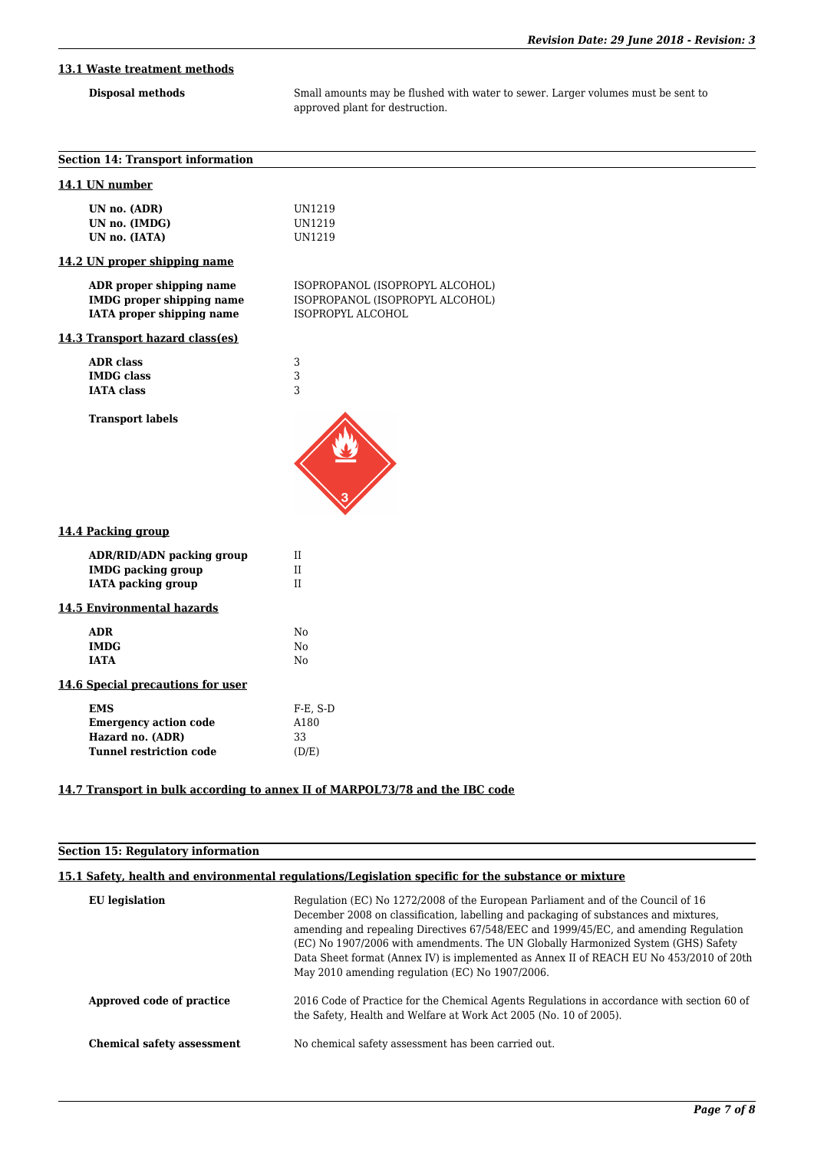# **13.1 Waste treatment methods**

**Disposal methods** Small amounts may be flushed with water to sewer. Larger volumes must be sent to approved plant for destruction.

| <b>Section 14: Transport information</b>                                                         |                                                                                         |
|--------------------------------------------------------------------------------------------------|-----------------------------------------------------------------------------------------|
| 14.1 UN number                                                                                   |                                                                                         |
| UN no. (ADR)<br>UN no. (IMDG)<br>UN no. (IATA)                                                   | UN1219<br>UN1219<br><b>UN1219</b>                                                       |
| 14.2 UN proper shipping name                                                                     |                                                                                         |
| ADR proper shipping name<br><b>IMDG</b> proper shipping name<br>IATA proper shipping name        | ISOPROPANOL (ISOPROPYL ALCOHOL)<br>ISOPROPANOL (ISOPROPYL ALCOHOL)<br>ISOPROPYL ALCOHOL |
| 14.3 Transport hazard class(es)                                                                  |                                                                                         |
| <b>ADR</b> class<br><b>IMDG</b> class<br><b>IATA</b> class                                       | 3<br>3<br>3                                                                             |
| <b>Transport labels</b>                                                                          |                                                                                         |
| 14.4 Packing group                                                                               |                                                                                         |
| <b>ADR/RID/ADN packing group</b><br><b>IMDG</b> packing group<br><b>IATA</b> packing group       | $\rm II$<br>$\rm II$<br>$\rm II$                                                        |
| <b>14.5 Environmental hazards</b>                                                                |                                                                                         |
| <b>ADR</b><br><b>IMDG</b><br><b>IATA</b>                                                         | No<br>No<br>N <sub>0</sub>                                                              |
| 14.6 Special precautions for user                                                                |                                                                                         |
| <b>EMS</b><br><b>Emergency action code</b><br>Hazard no. (ADR)<br><b>Tunnel restriction code</b> | F-E, S-D<br>A180<br>33<br>(D/E)                                                         |
|                                                                                                  | 14.7 Transport in bulk according to annex II of MARPOL73/78 and the IBC code            |

| <b>Section 15: Requlatory information</b>                                                           |                                                                                                                                                                                                                                                                                                                                                                                                                                                                                                     |  |  |
|-----------------------------------------------------------------------------------------------------|-----------------------------------------------------------------------------------------------------------------------------------------------------------------------------------------------------------------------------------------------------------------------------------------------------------------------------------------------------------------------------------------------------------------------------------------------------------------------------------------------------|--|--|
| 15.1 Safety, health and environmental regulations/Legislation specific for the substance or mixture |                                                                                                                                                                                                                                                                                                                                                                                                                                                                                                     |  |  |
| <b>EU</b> legislation                                                                               | Regulation (EC) No 1272/2008 of the European Parliament and of the Council of 16<br>December 2008 on classification, labelling and packaging of substances and mixtures,<br>amending and repealing Directives 67/548/EEC and 1999/45/EC, and amending Regulation<br>(EC) No 1907/2006 with amendments. The UN Globally Harmonized System (GHS) Safety<br>Data Sheet format (Annex IV) is implemented as Annex II of REACH EU No 453/2010 of 20th<br>May 2010 amending regulation (EC) No 1907/2006. |  |  |
| Approved code of practice                                                                           | 2016 Code of Practice for the Chemical Agents Regulations in accordance with section 60 of<br>the Safety, Health and Welfare at Work Act 2005 (No. 10 of 2005).                                                                                                                                                                                                                                                                                                                                     |  |  |
| <b>Chemical safety assessment</b>                                                                   | No chemical safety assessment has been carried out.                                                                                                                                                                                                                                                                                                                                                                                                                                                 |  |  |